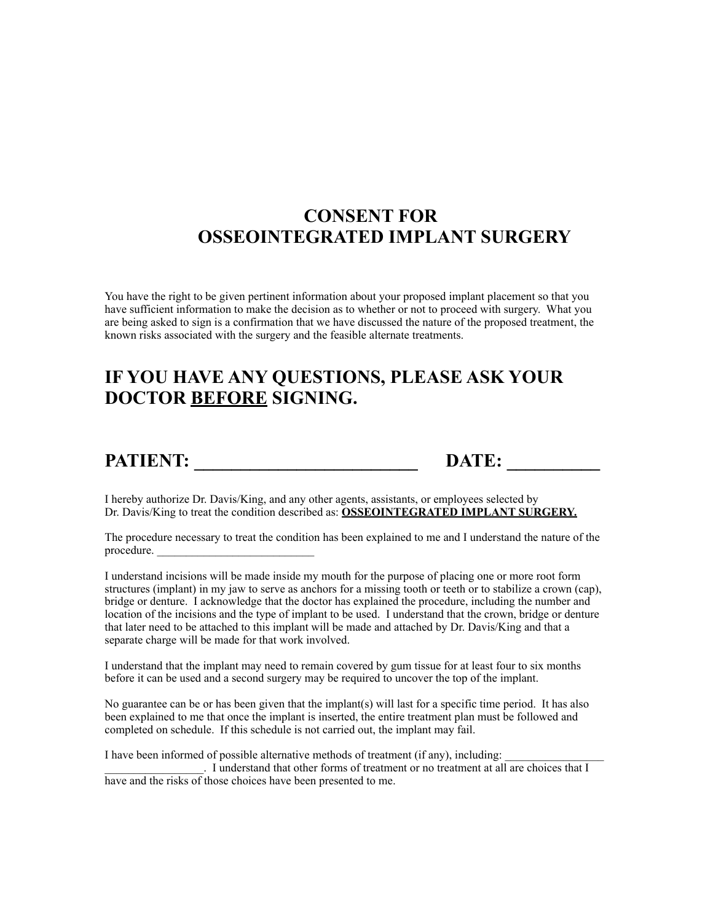## **CONSENT FOR OSSEOINTEGRATED IMPLANT SURGERY**

You have the right to be given pertinent information about your proposed implant placement so that you have sufficient information to make the decision as to whether or not to proceed with surgery. What you are being asked to sign is a confirmation that we have discussed the nature of the proposed treatment, the known risks associated with the surgery and the feasible alternate treatments.

## **IF YOU HAVE ANY QUESTIONS, PLEASE ASK YOUR DOCTOR BEFORE SIGNING.**

**PATIENT:** DATE:

I hereby authorize Dr. Davis/King, and any other agents, assistants, or employees selected by Dr. Davis/King to treat the condition described as: **OSSEOINTEGRATED IMPLANT SURGERY.**

The procedure necessary to treat the condition has been explained to me and I understand the nature of the procedure.

I understand incisions will be made inside my mouth for the purpose of placing one or more root form structures (implant) in my jaw to serve as anchors for a missing tooth or teeth or to stabilize a crown (cap), bridge or denture. I acknowledge that the doctor has explained the procedure, including the number and location of the incisions and the type of implant to be used. I understand that the crown, bridge or denture that later need to be attached to this implant will be made and attached by Dr. Davis/King and that a separate charge will be made for that work involved.

I understand that the implant may need to remain covered by gum tissue for at least four to six months before it can be used and a second surgery may be required to uncover the top of the implant.

No guarantee can be or has been given that the implant(s) will last for a specific time period. It has also been explained to me that once the implant is inserted, the entire treatment plan must be followed and completed on schedule. If this schedule is not carried out, the implant may fail.

I have been informed of possible alternative methods of treatment (if any), including:

\_\_\_\_\_\_\_\_\_\_\_\_\_\_\_\_\_. I understand that other forms of treatment or no treatment at all are choices that I have and the risks of those choices have been presented to me.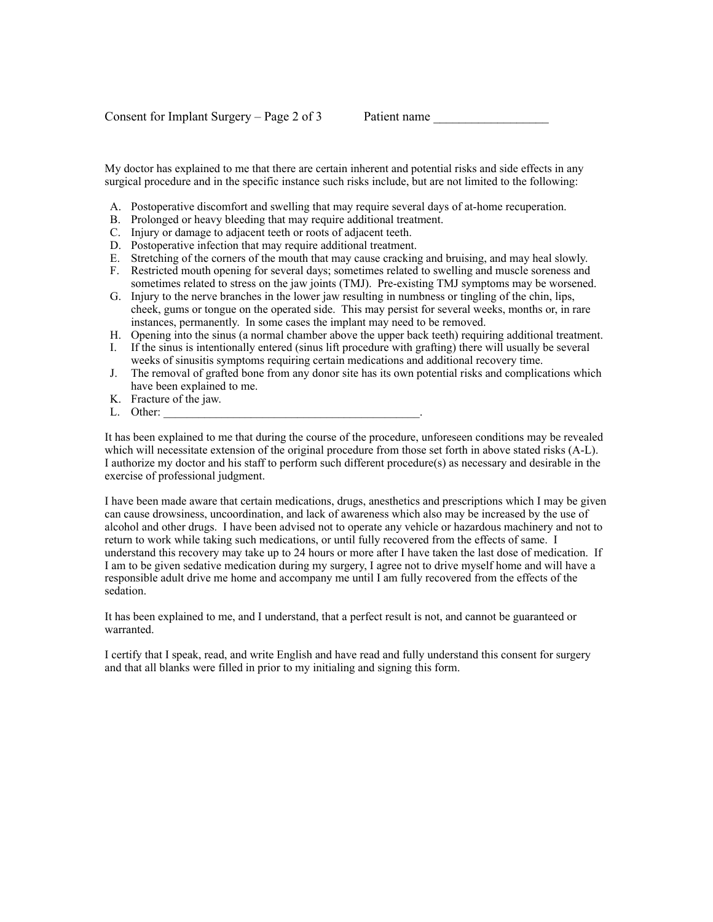My doctor has explained to me that there are certain inherent and potential risks and side effects in any surgical procedure and in the specific instance such risks include, but are not limited to the following:

- A. Postoperative discomfort and swelling that may require several days of at-home recuperation.
- B. Prolonged or heavy bleeding that may require additional treatment.
- C. Injury or damage to adjacent teeth or roots of adjacent teeth.
- D. Postoperative infection that may require additional treatment.
- E. Stretching of the corners of the mouth that may cause cracking and bruising, and may heal slowly.
- F. Restricted mouth opening for several days; sometimes related to swelling and muscle soreness and sometimes related to stress on the jaw joints (TMJ). Pre-existing TMJ symptoms may be worsened.
- G. Injury to the nerve branches in the lower jaw resulting in numbness or tingling of the chin, lips, cheek, gums or tongue on the operated side. This may persist for several weeks, months or, in rare instances, permanently. In some cases the implant may need to be removed.
- H. Opening into the sinus (a normal chamber above the upper back teeth) requiring additional treatment.
- I. If the sinus is intentionally entered (sinus lift procedure with grafting) there will usually be several weeks of sinusitis symptoms requiring certain medications and additional recovery time.
- J. The removal of grafted bone from any donor site has its own potential risks and complications which have been explained to me.
- K. Fracture of the jaw.
- L. Other:

It has been explained to me that during the course of the procedure, unforeseen conditions may be revealed which will necessitate extension of the original procedure from those set forth in above stated risks (A-L). I authorize my doctor and his staff to perform such different procedure(s) as necessary and desirable in the exercise of professional judgment.

I have been made aware that certain medications, drugs, anesthetics and prescriptions which I may be given can cause drowsiness, uncoordination, and lack of awareness which also may be increased by the use of alcohol and other drugs. I have been advised not to operate any vehicle or hazardous machinery and not to return to work while taking such medications, or until fully recovered from the effects of same. I understand this recovery may take up to 24 hours or more after I have taken the last dose of medication. If I am to be given sedative medication during my surgery, I agree not to drive myself home and will have a responsible adult drive me home and accompany me until I am fully recovered from the effects of the sedation.

It has been explained to me, and I understand, that a perfect result is not, and cannot be guaranteed or warranted.

I certify that I speak, read, and write English and have read and fully understand this consent for surgery and that all blanks were filled in prior to my initialing and signing this form.